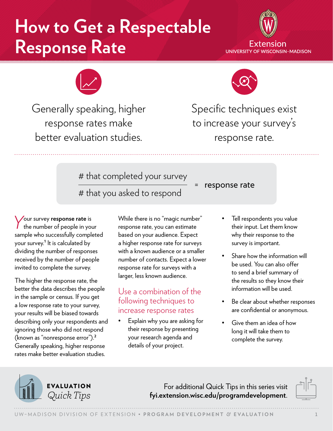## **How to Get a Respectable Response Rate**





Generally speaking, higher response rates make better evaluation studies.



Specific techniques exist to increase your survey's response rate.

# that completed your survey

= response rate<br># that you asked to respond

*Y*our survey **response rate** is the number of people in your sample who successfully completed your survey.**<sup>1</sup>** It is calculated by dividing the number of responses received by the number of people invited to complete the survey.

The higher the response rate, the better the data describes the people in the sample or census. If you get a low response rate to your survey, your results will be biased towards describing only your respondents and ignoring those who did not respond (known as "nonresponse error").**<sup>2</sup>** Generally speaking, higher response rates make better evaluation studies.

While there is no "magic number" response rate, you can estimate based on your audience. Expect a higher response rate for surveys with a known audience or a smaller number of contacts. Expect a lower response rate for surveys with a larger, less known audience.

## Use a combination of the following techniques to increase response rates

• Explain why you are asking for their response by presenting your research agenda and details of your project.

- Tell respondents you value their input. Let them know why their response to the survey is important.
- Share how the information will be used. You can also offer to send a brief summary of the results so they know their information will be used.
- Be clear about whether responses are confidential or anonymous.
- Give them an idea of how long it will take them to complete the survey.



For additional Quick Tips in this series visit *Quick Tips* **[fyi.extension.wisc.edu/programdevelopment](https://fyi.extension.wisc.edu/programdevelopment)**.